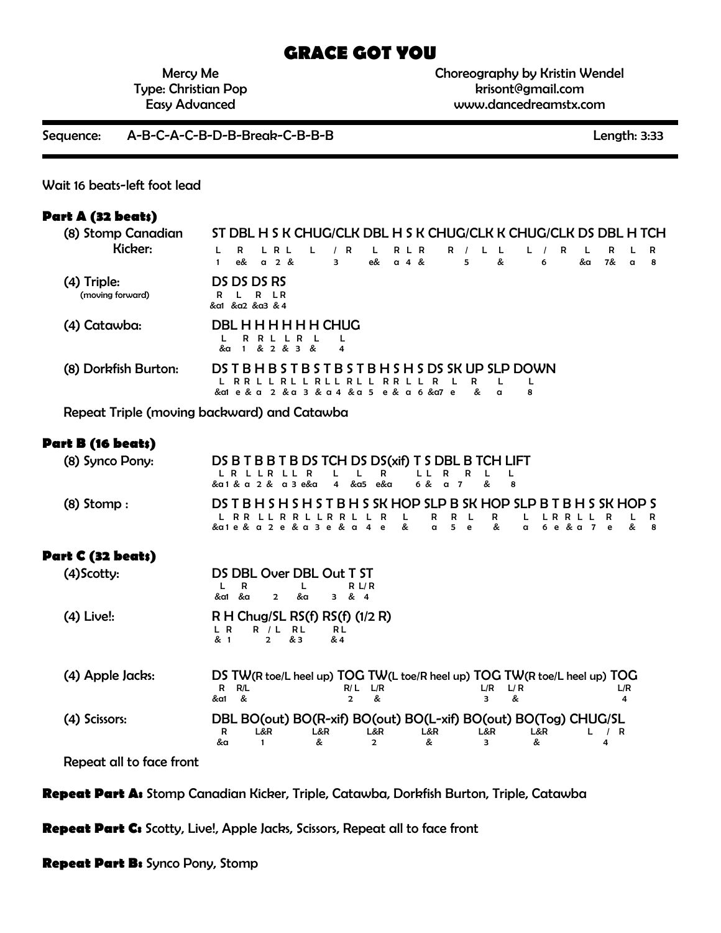# **GRACE GOT YOU**

Mercy Me Type: Christian Pop Easy Advanced

Choreography by Kristin Wendel krisont@gmail.com www.dancedreamstx.com

Sequence: A-B-C-A-C-B-D-B-Break-C-B-B-B Length: 3:33

Wait 16 beats-left foot lead

#### **Part A (32 beats)**

| (8) Stomp Canadian   |    |                 |       |                          |                             |   |      |                                                        |       |            |       |         |          |   |   |   |    | ST DBL H S K CHUG/CLK DBL H S K CHUG/CLK K CHUG/CLK DS DBL H TCH |   |    |
|----------------------|----|-----------------|-------|--------------------------|-----------------------------|---|------|--------------------------------------------------------|-------|------------|-------|---------|----------|---|---|---|----|------------------------------------------------------------------|---|----|
| Kicker:              |    | R               | L R L |                          |                             |   | R    | $\mathsf{L}$                                           | R L R |            | $R$ / |         |          |   |   | R |    | R                                                                |   | R  |
|                      |    | e&              | a 2 & |                          |                             | 3 |      | e& a 4 &                                               |       |            |       | 5.      | &        |   | 6 |   | &a | 7&                                                               | a | -8 |
| (4) Triple:          |    | DS DS DS RS     |       |                          |                             |   |      |                                                        |       |            |       |         |          |   |   |   |    |                                                                  |   |    |
| (moving forward)     | R. | L R LR          |       |                          |                             |   |      |                                                        |       |            |       |         |          |   |   |   |    |                                                                  |   |    |
|                      |    | &a1 &a2 &a3 & 4 |       |                          |                             |   |      |                                                        |       |            |       |         |          |   |   |   |    |                                                                  |   |    |
| (4) Catawba:         |    |                 |       |                          | <b>DBL H H H H H H CHUG</b> |   |      |                                                        |       |            |       |         |          |   |   |   |    |                                                                  |   |    |
|                      | &α | $\blacksquare$  |       | R R L L R L<br>& 2 & 3 & |                             | 4 |      |                                                        |       |            |       |         |          |   |   |   |    |                                                                  |   |    |
|                      |    |                 |       |                          |                             |   |      |                                                        |       |            |       |         |          |   |   |   |    |                                                                  |   |    |
| (8) Dorkfish Burton: |    |                 |       |                          |                             |   |      | DS T B H B S T B S T B S T B H S H S DS SK UP SLP DOWN |       |            |       |         |          |   |   |   |    |                                                                  |   |    |
|                      |    |                 |       |                          |                             |   | RL L | & a1 e & a 2 & a 3 & a 4 & a 5 e & a 6 & a7 e          |       | RR L L R L |       | R<br>o. | $\alpha$ | 8 |   |   |    |                                                                  |   |    |
|                      |    |                 |       |                          |                             |   |      |                                                        |       |            |       |         |          |   |   |   |    |                                                                  |   |    |

Repeat Triple (moving backward) and Catawba

#### **Part B (16 beats)**

| (8) Synco Pony: | DS B T B B T B DS TCH DS DS(xif) T S DBL B TCH LIFT                   |  |
|-----------------|-----------------------------------------------------------------------|--|
|                 | LRLLRLLR LLR LLRRLL                                                   |  |
|                 | & a 1 & a 2 & a 3 e&a 4 & a 5 e&a 6 & a 7 & 8                         |  |
| $(8)$ Stomp :   | DS T B H S H S H S T B H S SK HOP SLP B SK HOP SLP B T B H S SK HOP S |  |
|                 | LRR LLRR LLRR LLRR R LLR LLRR LLRLR LR                                |  |
|                 | & a 1 e & a 2 e & a 4 e & a 5 e & a 6 e & a 7 e & 8                   |  |

### **Part C (32 beats)**

| $(4)$ Scotty:    | DS DBL Over DBL Out T ST<br>R L/R<br>R<br>&a<br>&a1<br>&α<br>$\mathbf{2}$<br>З.<br>& 4                                                                 |
|------------------|--------------------------------------------------------------------------------------------------------------------------------------------------------|
| $(4)$ Live!:     | R H Chug/SL RS $(f)$ RS $(f)$ $(1/2 R)$<br>R / L R L<br>L R<br>R L<br>& 3<br>& 4<br>& 1<br>$2^{\circ}$                                                 |
| (4) Apple Jacks: | DS TW(R toe/L heel up) TOG TW(L toe/R heel up) TOG TW(R toe/L heel up) TOG<br>R/L<br>L/R<br>R/L<br>L/R<br>L/R<br>R.<br>L/R<br>&a1<br>&<br>&<br>æ.<br>2 |
| (4) Scissors:    | DBL BO(out) BO(R-xif) BO(out) BO(L-xif) BO(out) BO(Tog) CHUG/SL<br>L&R<br>L&R<br>L&R<br>L&R<br>L&R.<br>L&R<br>/ R<br>R<br>&a<br>&<br>&<br>&<br>4       |

Repeat all to face front

**Repeat Part A:** Stomp Canadian Kicker, Triple, Catawba, Dorkfish Burton, Triple, Catawba

**Repeat Part C:** Scotty, Live!, Apple Jacks, Scissors, Repeat all to face front

**Repeat Part B:** Synco Pony, Stomp